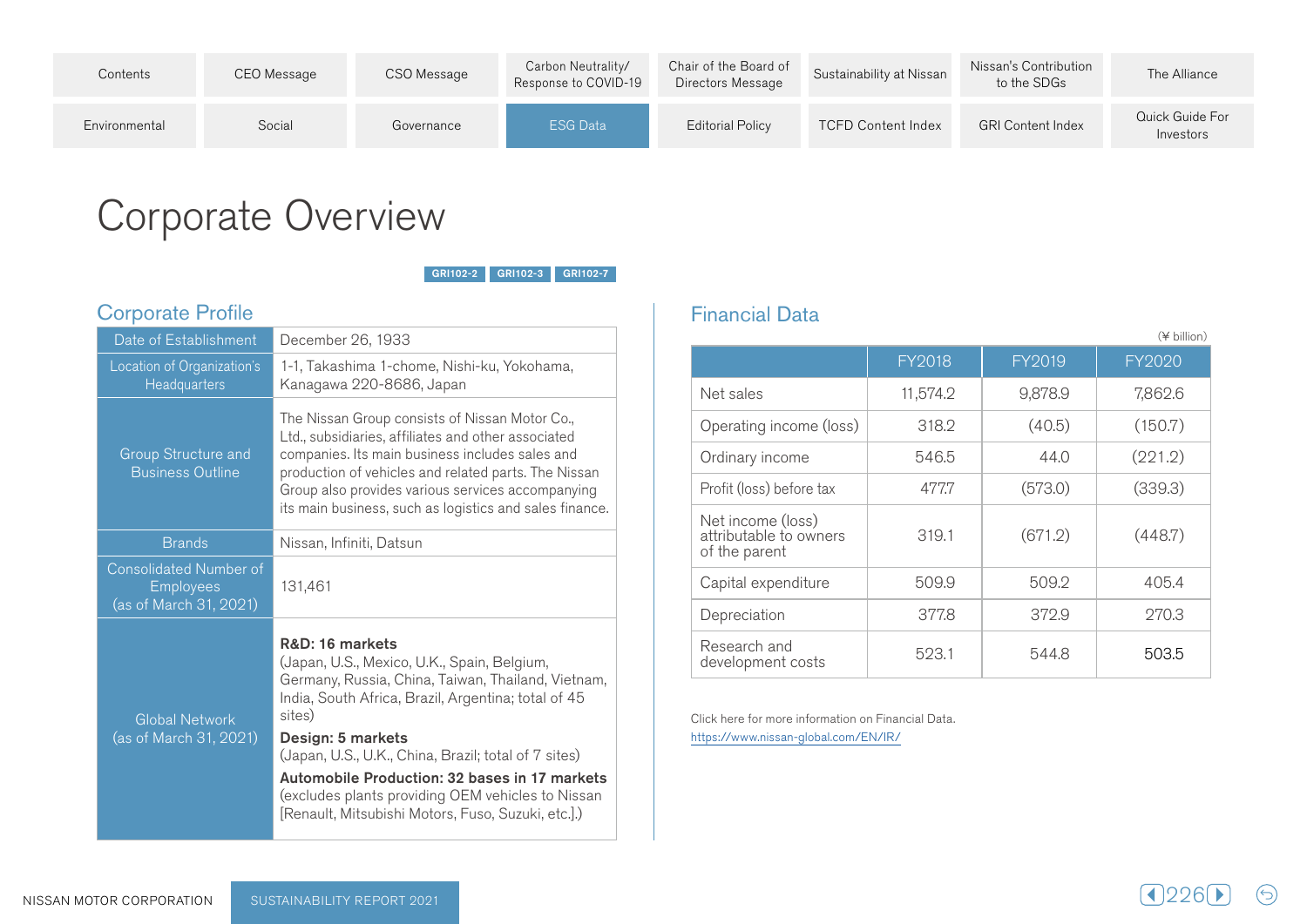| Contents      | CEO Message | CSO Message | Carbon Neutrality/<br>Response to COVID-19 | Chair of the Board of<br>Directors Message | Sustainability at Nissan  | Nissan's Contribution<br>to the SDGs | The Alliance                 |
|---------------|-------------|-------------|--------------------------------------------|--------------------------------------------|---------------------------|--------------------------------------|------------------------------|
| Environmental | Social      | Governance  | <b>ESG Data</b>                            | Editorial Policy                           | <b>TCFD Content Index</b> | <b>GRI Content Index</b>             | Quick Guide For<br>Investors |

## Corporate Overview

GRI102-2 GRI102-3 GRI102-7

## Corporate Profile

| Date of Establishment                                                       | December 26, 1933                                                                                                                                                                                                                                                                                                                                                                                                              |  |  |
|-----------------------------------------------------------------------------|--------------------------------------------------------------------------------------------------------------------------------------------------------------------------------------------------------------------------------------------------------------------------------------------------------------------------------------------------------------------------------------------------------------------------------|--|--|
|                                                                             |                                                                                                                                                                                                                                                                                                                                                                                                                                |  |  |
| Location of Organization's                                                  | 1-1, Takashima 1-chome, Nishi-ku, Yokohama,                                                                                                                                                                                                                                                                                                                                                                                    |  |  |
| Headquarters                                                                | Kanagawa 220-8686, Japan                                                                                                                                                                                                                                                                                                                                                                                                       |  |  |
| Group Structure and<br><b>Business Outline</b>                              | The Nissan Group consists of Nissan Motor Co.,<br>Ltd., subsidiaries, affiliates and other associated<br>companies. Its main business includes sales and<br>production of vehicles and related parts. The Nissan<br>Group also provides various services accompanying<br>its main business, such as logistics and sales finance.                                                                                               |  |  |
| <b>Brands</b>                                                               | Nissan, Infiniti, Datsun                                                                                                                                                                                                                                                                                                                                                                                                       |  |  |
| <b>Consolidated Number of</b><br><b>Employees</b><br>(as of March 31, 2021) | 131,461                                                                                                                                                                                                                                                                                                                                                                                                                        |  |  |
| <b>Global Network</b><br>(as of March 31, 2021)                             | R&D: 16 markets<br>(Japan, U.S., Mexico, U.K., Spain, Belgium,<br>Germany, Russia, China, Taiwan, Thailand, Vietnam,<br>India, South Africa, Brazil, Argentina; total of 45<br>sites)<br>Design: 5 markets<br>(Japan, U.S., U.K., China, Brazil; total of 7 sites)<br>Automobile Production: 32 bases in 17 markets<br>(excludes plants providing OEM vehicles to Nissan<br>[Renault, Mitsubishi Motors, Fuso, Suzuki, etc.].) |  |  |

## **Financial Data**

|                                                              |               |         | (¥ billion)   |
|--------------------------------------------------------------|---------------|---------|---------------|
|                                                              | <b>FY2018</b> | FY2019  | <b>FY2020</b> |
| Net sales                                                    | 11,574.2      | 9,878.9 | 7,862.6       |
| Operating income (loss)                                      | 318.2         | (40.5)  | (150.7)       |
| Ordinary income                                              | 546.5         | 44.0    | (221.2)       |
| Profit (loss) before tax                                     | 477.7         | (573.0) | (339.3)       |
| Net income (loss)<br>attributable to owners<br>of the parent | 319.1         | (671.2) | (448.7)       |
| Capital expenditure                                          | 509.9         | 509.2   | 405.4         |
| Depreciation                                                 | 377.8         | 372.9   | 270.3         |
| Research and<br>development costs                            | 523.1         | 544.8   | 503.5         |

 $(\ominus)$ 

Click here for more information on Financial Data. https://www.nissan-global.com/EN/IR/